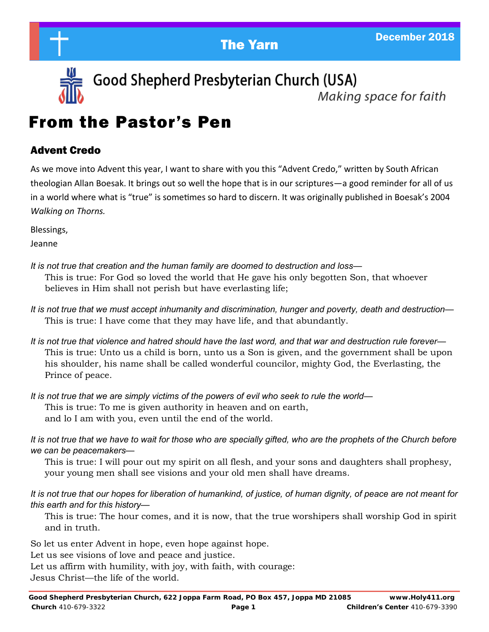



Good Shepherd Presbyterian Church (USA)

Making space for faith

# From the Pastor's Pen

### Advent Credo

As we move into Advent this year, I want to share with you this "Advent Credo," written by South African theologian Allan Boesak. It brings out so well the hope that is in our scriptures—a good reminder for all of us in a world where what is "true" is sometimes so hard to discern. It was originally published in Boesak's 2004 *Walking on Thorns.* 

Blessings,

Jeanne

- *It is not true that creation and the human family are doomed to destruction and loss—* This is true: For God so loved the world that He gave his only begotten Son, that whoever believes in Him shall not perish but have everlasting life;
- *It is not true that we must accept inhumanity and discrimination, hunger and poverty, death and destruction—* This is true: I have come that they may have life, and that abundantly.
- *It is not true that violence and hatred should have the last word, and that war and destruction rule forever—* This is true: Unto us a child is born, unto us a Son is given, and the government shall be upon his shoulder, his name shall be called wonderful councilor, mighty God, the Everlasting, the Prince of peace.
- *It is not true that we are simply victims of the powers of evil who seek to rule the world—* This is true: To me is given authority in heaven and on earth, and lo I am with you, even until the end of the world.

*It is not true that we have to wait for those who are specially gifted, who are the prophets of the Church before we can be peacemakers—*

This is true: I will pour out my spirit on all flesh, and your sons and daughters shall prophesy, your young men shall see visions and your old men shall have dreams.

*It is not true that our hopes for liberation of humankind, of justice, of human dignity, of peace are not meant for this earth and for this history—*

This is true: The hour comes, and it is now, that the true worshipers shall worship God in spirit and in truth.

So let us enter Advent in hope, even hope against hope.

Let us see visions of love and peace and justice.

Let us affirm with humility, with joy, with faith, with courage:

Jesus Christ—the life of the world.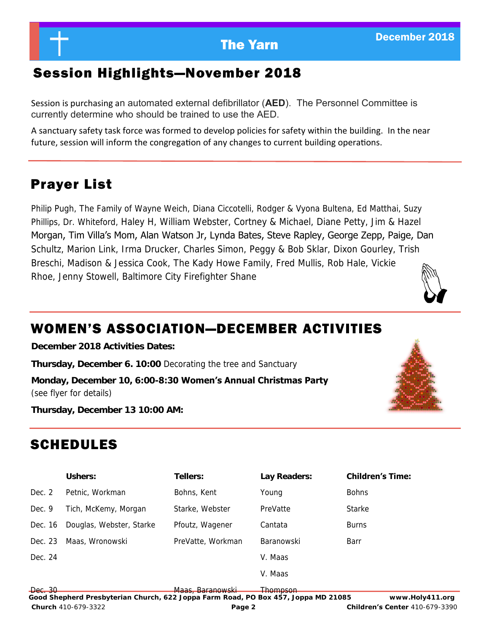### Session Highlights—November 2018

Session is purchasing an automated external defibrillator (**AED**). The Personnel Committee is currently determine who should be trained to use the AED.

A sanctuary safety task force was formed to develop policies for safety within the building. In the near future, session will inform the congregation of any changes to current building operations.

### Prayer List

Philip Pugh, The Family of Wayne Weich, Diana Ciccotelli, Rodger & Vyona Bultena, Ed Matthai, Suzy Phillips, Dr. Whiteford, Haley H, William Webster, Cortney & Michael, Diane Petty, Jim & Hazel Morgan, Tim Villa's Mom, Alan Watson Jr, Lynda Bates, Steve Rapley, George Zepp, Paige, Dan Schultz, Marion Link, Irma Drucker, Charles Simon, Peggy & Bob Sklar, Dixon Gourley, Trish Breschi, Madison & Jessica Cook, The Kady Howe Family, Fred Mullis, Rob Hale, Vickie Rhoe, Jenny Stowell, Baltimore City Firefighter Shane



## WOMEN'S ASSOCIATION—DECEMBER ACTIVITIES

**December 2018 Activities Dates:**

**Thursday, December 6. 10:00** Decorating the tree and Sanctuary

**Monday, December 10, 6:00-8:30 Women's Annual Christmas Party** (see flyer for details)



**Thursday, December 13 10:00 AM:**

## SCHEDULES

**Ushers: Tellers: Lay Readers: Children's Time:** Dec. 2 Petnic, Workman Bohns, Kent Young Bohns Dec. 9 Tich, McKemy, Morgan Starke, Webster PreVatte Starke Dec. 16 Douglas, Webster, Starke Pfoutz, Wagener Cantata Burns Dec. 23 Maas, Wronowski PreVatte, Workman Baranowski Barr Dec. 24 V. Maas V. Maas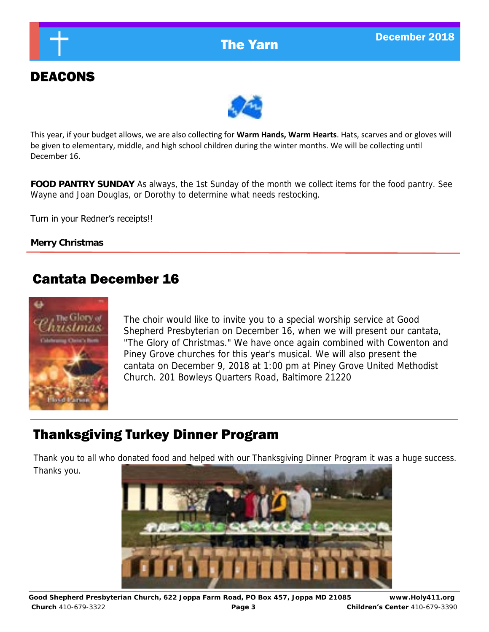

## DEACONS



This year, if your budget allows, we are also collecting for **Warm Hands, Warm Hearts**. Hats, scarves and or gloves will be given to elementary, middle, and high school children during the winter months. We will be collecting until December 16.

**FOOD PANTRY SUNDAY** As always, the 1st Sunday of the month we collect items for the food pantry. See Wayne and Joan Douglas, or Dorothy to determine what needs restocking.

Turn in your Redner's receipts!!

**Merry Christmas**

### Cantata December 16



The choir would like to invite you to a special worship service at Good Shepherd Presbyterian on December 16, when we will present our cantata, "The Glory of Christmas." We have once again combined with Cowenton and Piney Grove churches for this year's musical. We will also present the cantata on December 9, 2018 at 1:00 pm at Piney Grove United Methodist Church. 201 Bowleys Quarters Road, Baltimore 21220

### Thanksgiving Turkey Dinner Program

Thank you to all who donated food and helped with our Thanksgiving Dinner Program it was a huge success. Thanks you.

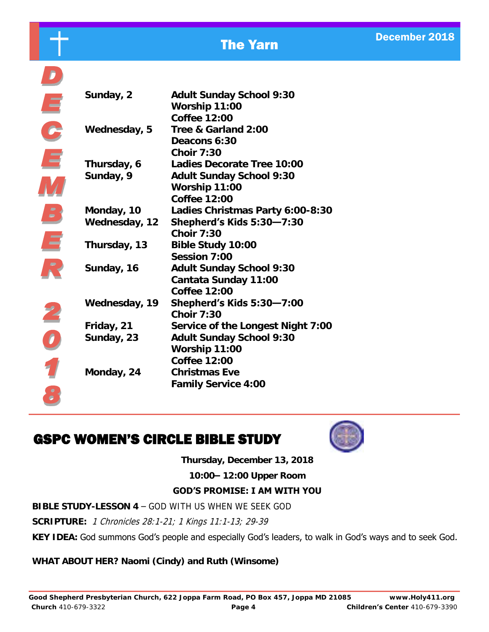| ı                                                    |
|------------------------------------------------------|
| $\overline{\phantom{a}}$<br>$\overline{\phantom{a}}$ |
|                                                      |
|                                                      |
|                                                      |
|                                                      |
| $\overline{\phantom{a}}$                             |
| $\overline{\mathcal{L}}$                             |

 $\frac{\bullet}{\bullet}$ 

| Sunday, 2     | Adult Sunday School 9:30            |
|---------------|-------------------------------------|
|               | Worship 11:00                       |
|               | Coffee 12:00<br>Tree & Garland 2:00 |
| Wednesday, 5  | Deacons 6:30                        |
|               | Choir 7:30                          |
| Thursday, 6   | Ladies Decorate Tree 10:00          |
| Sunday, 9     | Adult Sunday School 9:30            |
|               | Worship 11:00                       |
|               | Coffee 12:00                        |
| Monday, 10    | Ladies Christmas Party 6:00-8:30    |
| Wednesday, 12 | Shepherd's Kids 5:30-7:30           |
|               | Choir 7:30                          |
| Thursday, 13  | Bible Study 10:00                   |
|               | Session 7:00                        |
| Sunday, 16    | Adult Sunday School 9:30            |
|               | Cantata Sunday 11:00                |
|               | Coffee 12:00                        |
| Wednesday, 19 | Shepherd's Kids 5:30-7:00           |
|               | Choir 7:30                          |
| Friday, 21    | Service of the Longest Night 7:00   |
| Sunday, 23    | Adult Sunday School 9:30            |
|               | Worship 11:00                       |
|               | Coffee 12:00                        |
| Monday, 24    | Christmas Eve                       |
|               | Family Service 4:00                 |

## GSPC WOMEN'S CIRCLE BIBLE STUDY



**Thursday, December 13, 2018**

**10:00– 12:00 Upper Room**

### **GOD'S PROMISE: I AM WITH YOU**

**BIBLE STUDY-LESSON 4** – GOD WITH US WHEN WE SEEK GOD

**SCRIPTURE:** 1 Chronicles 28:1-21; 1 Kings 11:1-13; 29-39

**KEY IDEA:** God summons God's people and especially God's leaders, to walk in God's ways and to seek God.

**WHAT ABOUT HER? Naomi (Cindy) and Ruth (Winsome)**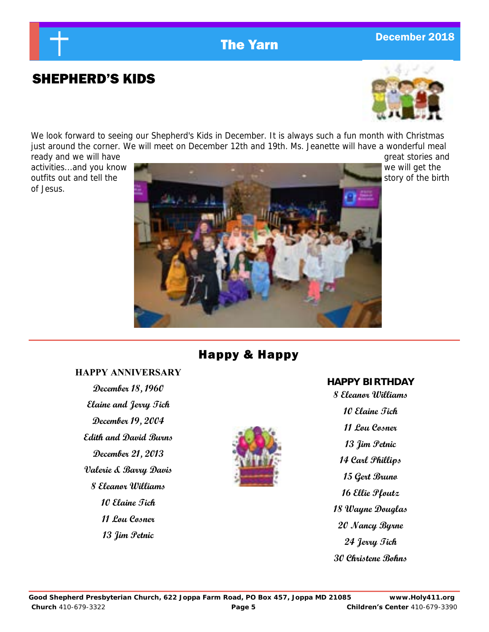# **The Yarn December 2018**

### SHEPHERD'S KIDS



We look forward to seeing our Shepherd's Kids in December. It is always such a fun month with Christmas just around the corner. We will meet on December 12th and 19th. Ms. Jeanette will have a wonderful meal ready and we will have  $\Box$  and  $\Box$  and  $\Box$  and  $\Box$  are great stories and  $\Box$  are great stories and  $\Box$ 

of Jesus.



### Happy & Happy

### **HAPPY ANNIVERSARY**

**December 18, 1960 Elaine and Jerry Tich December 19, 2004 Edith and David Burns December 21, 2013 Valerie & Barry Davis 8 Eleanor Williams 10 Elaine Tich 11 Lou Cosner 13 Jim Petnic**



### **HAPPY BIRTHDAY**

**8 Eleanor Williams 10 Elaine Tich 11 Lou Cosner 13 Jim Petnic 14 Carl Phillips 15 Gert Bruno 16 Ellie Pfoutz 18 Wayne Douglas 20 Nancy Byrne 24 Jerry Tich 30 Christene Bohns**